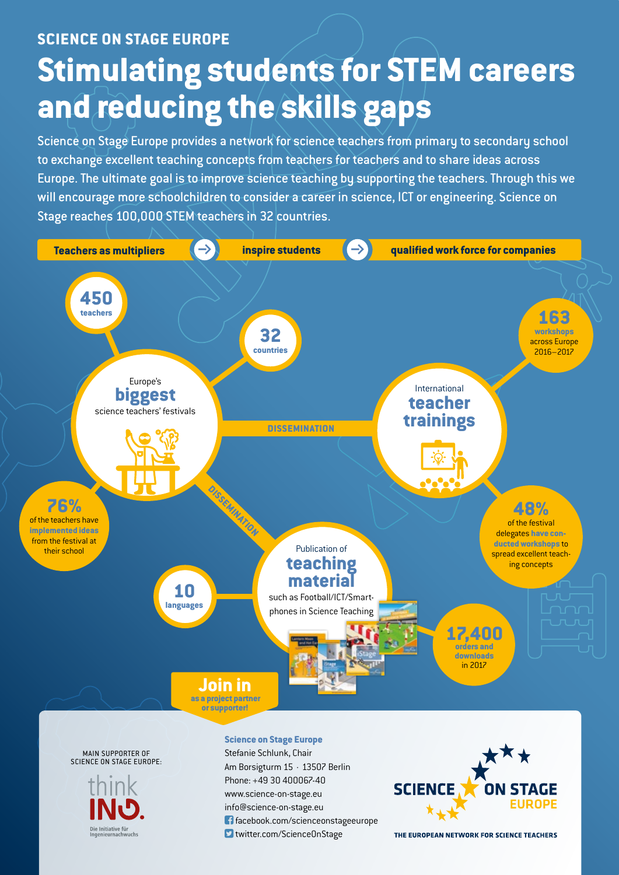## **SCIENCE ON STAGE EUROPE Stimulating students for STEM careers and reducing the skills gaps**

Science on Stage Europe provides a network for science teachers from primary to secondary school to exchange excellent teaching concepts from teachers for teachers and to share ideas across Europe. The ultimate goal is to improve science teaching by supporting the teachers. Through this we will encourage more schoolchildren to consider a career in science, ICT or engineering. Science on Stage reaches 100,000 STEM teachers in 32 countries.



Die Initiative für<br>Ingenieurnachwuchs

Phone: +49 30 400067-40 www.science-on-stage.eu info@science-on-stage.eu facebook.com/scienceonstageeurope **D** twitter.com/ScienceOnStage

THE EUROPEAN NETWORK FOR SCIENCE TEACHERS

**EUROPE**